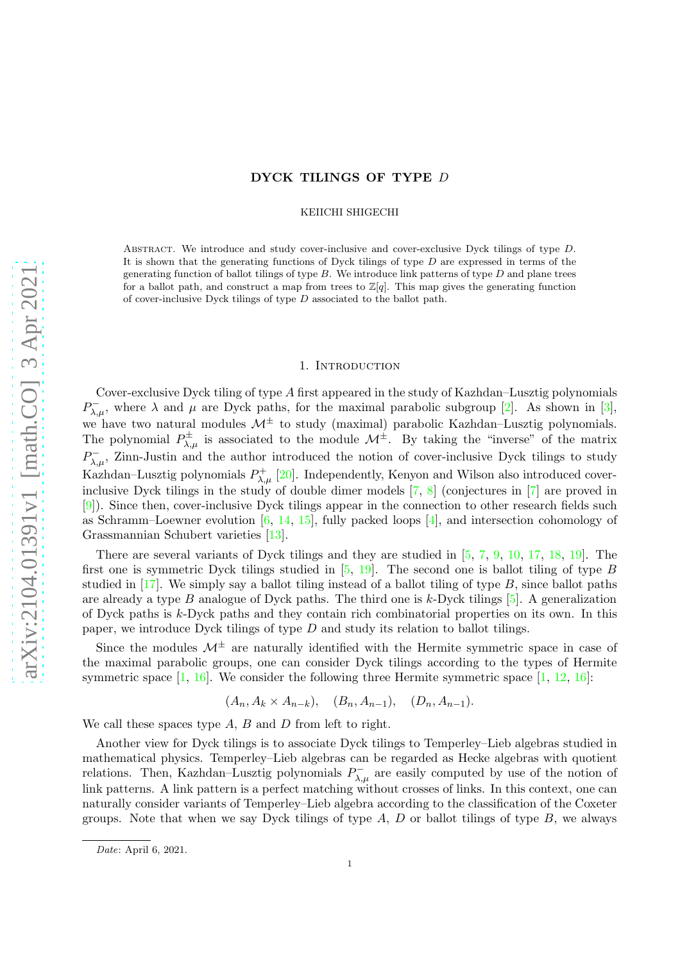## DYCK TILINGS OF TYPE D

KEIICHI SHIGECHI

Abstract. We introduce and study cover-inclusive and cover-exclusive Dyck tilings of type D. It is shown that the generating functions of Dyck tilings of type  $D$  are expressed in terms of the generating function of ballot tilings of type  $B$ . We introduce link patterns of type  $D$  and plane trees for a ballot path, and construct a map from trees to  $\mathbb{Z}[q]$ . This map gives the generating function of cover-inclusive Dyck tilings of type D associated to the ballot path.

### 1. INTRODUCTION

Cover-exclusive Dyck tiling of type A first appeared in the study of Kazhdan–Lusztig polynomials  $P_{\lambda,\mu}^-$ , where  $\lambda$  and  $\mu$  are Dyck paths, for the maximal parabolic subgroup [\[2\]](#page-13-0). As shown in [\[3\]](#page-13-1), we have two natural modules  $\mathcal{M}^{\pm}$  to study (maximal) parabolic Kazhdan–Lusztig polynomials. The polynomial  $P^{\pm}_{\lambda,\mu}$  is associated to the module  $\mathcal{M}^{\pm}$ . By taking the "inverse" of the matrix  $P_{\lambda,\mu}^-$ , Zinn-Justin and the author introduced the notion of cover-inclusive Dyck tilings to study Kazhdan–Lusztig polynomials  $P_{\lambda,\mu}^{+}$  [\[20\]](#page-13-2). Independently, Kenyon and Wilson also introduced coverinclusive Dyck tilings in the study of double dimer models [\[7,](#page-13-3) [8\]](#page-13-4) (conjectures in [\[7\]](#page-13-3) are proved in [\[9\]](#page-13-5)). Since then, cover-inclusive Dyck tilings appear in the connection to other research fields such as Schramm–Loewner evolution  $[6, 14, 15]$  $[6, 14, 15]$  $[6, 14, 15]$  $[6, 14, 15]$ , fully packed loops  $[4]$ , and intersection cohomology of Grassmannian Schubert varieties [\[13\]](#page-13-10).

There are several variants of Dyck tilings and they are studied in [\[5,](#page-13-11) [7,](#page-13-3) [9,](#page-13-5) [10,](#page-13-12) [17,](#page-13-13) [18,](#page-13-14) [19\]](#page-13-15). The first one is symmetric Dyck tilings studied in  $[5, 19]$  $[5, 19]$ . The second one is ballot tiling of type B studied in  $[17]$ . We simply say a ballot tiling instead of a ballot tiling of type  $B$ , since ballot paths are already a type B analogue of Dyck paths. The third one is k-Dyck tilings  $[5]$ . A generalization of Dyck paths is k-Dyck paths and they contain rich combinatorial properties on its own. In this paper, we introduce Dyck tilings of type D and study its relation to ballot tilings.

Since the modules  $\mathcal{M}^{\pm}$  are naturally identified with the Hermite symmetric space in case of the maximal parabolic groups, one can consider Dyck tilings according to the types of Hermite symmetric space  $[1, 16]$  $[1, 16]$ . We consider the following three Hermite symmetric space  $[1, 12, 16]$  $[1, 12, 16]$  $[1, 12, 16]$ :

$$
(A_n, A_k \times A_{n-k}), \quad (B_n, A_{n-1}), \quad (D_n, A_{n-1}).
$$

We call these spaces type  $A$ ,  $B$  and  $D$  from left to right.

Another view for Dyck tilings is to associate Dyck tilings to Temperley–Lieb algebras studied in mathematical physics. Temperley–Lieb algebras can be regarded as Hecke algebras with quotient relations. Then, Kazhdan–Lusztig polynomials  $P_{\lambda,\mu}^-$  are easily computed by use of the notion of link patterns. A link pattern is a perfect matching without crosses of links. In this context, one can naturally consider variants of Temperley–Lieb algebra according to the classification of the Coxeter groups. Note that when we say Dyck tilings of type  $A, D$  or ballot tilings of type  $B$ , we always

*Date*: April 6, 2021.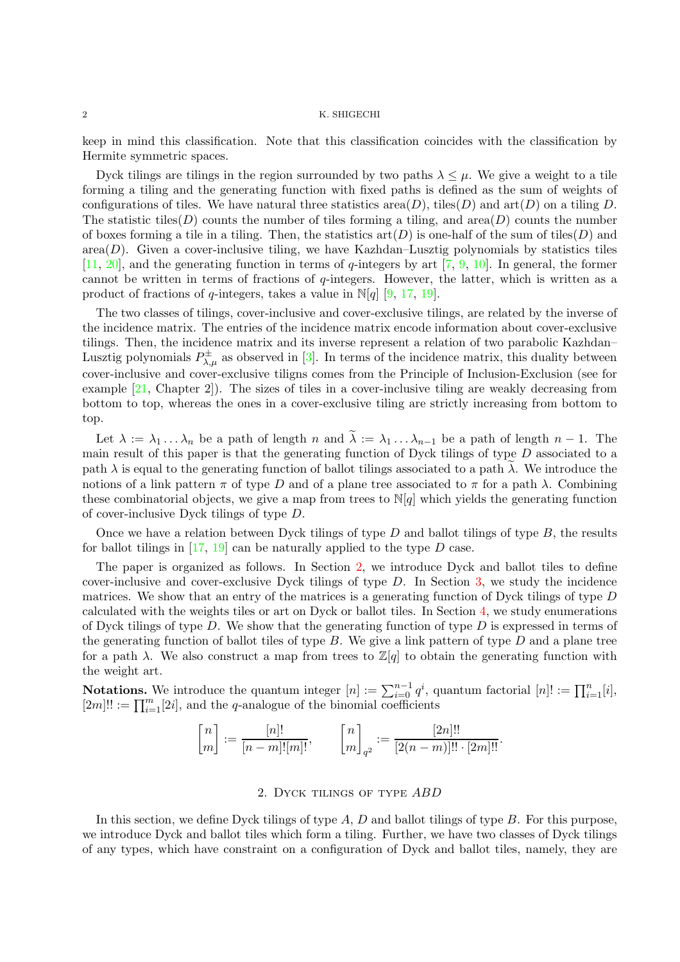keep in mind this classification. Note that this classification coincides with the classification by Hermite symmetric spaces.

Dyck tilings are tilings in the region surrounded by two paths  $\lambda \leq \mu$ . We give a weight to a tile forming a tiling and the generating function with fixed paths is defined as the sum of weights of configurations of tiles. We have natural three statistics area $(D)$ , tiles $(D)$  and  $art(D)$  on a tiling D. The statistic tiles(D) counts the number of tiles forming a tiling, and area(D) counts the number of boxes forming a tile in a tiling. Then, the statistics  $art(D)$  is one-half of the sum of tiles(D) and  $area(D)$ . Given a cover-inclusive tiling, we have Kazhdan–Lusztig polynomials by statistics tiles  $[11, 20]$  $[11, 20]$  $[11, 20]$ , and the generating function in terms of q-integers by art  $[7, 9, 10]$  $[7, 9, 10]$  $[7, 9, 10]$  $[7, 9, 10]$ . In general, the former cannot be written in terms of fractions of  $q$ -integers. However, the latter, which is written as a product of fractions of q-integers, takes a value in  $\mathbb{N}[q]$  [\[9,](#page-13-5) [17,](#page-13-13) [19\]](#page-13-15).

The two classes of tilings, cover-inclusive and cover-exclusive tilings, are related by the inverse of the incidence matrix. The entries of the incidence matrix encode information about cover-exclusive tilings. Then, the incidence matrix and its inverse represent a relation of two parabolic Kazhdan– Lusztig polynomials  $P^{\pm}_{\lambda,\mu}$  as observed in [\[3\]](#page-13-1). In terms of the incidence matrix, this duality between cover-inclusive and cover-exclusive tiligns comes from the Principle of Inclusion-Exclusion (see for example [\[21,](#page-13-20) Chapter 2]). The sizes of tiles in a cover-inclusive tiling are weakly decreasing from bottom to top, whereas the ones in a cover-exclusive tiling are strictly increasing from bottom to top.

Let  $\lambda := \lambda_1 \dots \lambda_n$  be a path of length n and  $\lambda := \lambda_1 \dots \lambda_{n-1}$  be a path of length  $n-1$ . The main result of this paper is that the generating function of Dyck tilings of type D associated to a path  $\lambda$  is equal to the generating function of ballot tilings associated to a path  $\lambda$ . We introduce the notions of a link pattern  $\pi$  of type D and of a plane tree associated to  $\pi$  for a path  $\lambda$ . Combining these combinatorial objects, we give a map from trees to  $N[q]$  which yields the generating function of cover-inclusive Dyck tilings of type D.

Once we have a relation between Dyck tilings of type  $D$  and ballot tilings of type  $B$ , the results for ballot tilings in  $[17, 19]$  $[17, 19]$  can be naturally applied to the type D case.

The paper is organized as follows. In Section [2,](#page-1-0) we introduce Dyck and ballot tiles to define cover-inclusive and cover-exclusive Dyck tilings of type  $D$ . In Section [3,](#page-5-0) we study the incidence matrices. We show that an entry of the matrices is a generating function of Dyck tilings of type D calculated with the weights tiles or art on Dyck or ballot tiles. In Section [4,](#page-8-0) we study enumerations of Dyck tilings of type  $D$ . We show that the generating function of type  $D$  is expressed in terms of the generating function of ballot tiles of type  $B$ . We give a link pattern of type  $D$  and a plane tree for a path  $\lambda$ . We also construct a map from trees to  $\mathbb{Z}[q]$  to obtain the generating function with the weight art.

**Notations.** We introduce the quantum integer  $[n] := \sum_{i=0}^{n-1} q^i$ , quantum factorial  $[n]! := \prod_{i=1}^{n} [i]$ ,  $[2m]!! := \prod_{i=1}^{m} [2i]$ , and the *q*-analogue of the binomial coefficients

$$
\begin{bmatrix} n \\ m \end{bmatrix} := \frac{[n]!}{[n-m]! [m]!}, \qquad \begin{bmatrix} n \\ m \end{bmatrix}_{q^2} := \frac{[2n]!!}{[2(n-m)]!! \cdot [2m]!!}.
$$

## 2. Dyck tilings of type ABD

<span id="page-1-0"></span>In this section, we define Dyck tilings of type  $A, D$  and ballot tilings of type  $B$ . For this purpose, we introduce Dyck and ballot tiles which form a tiling. Further, we have two classes of Dyck tilings of any types, which have constraint on a configuration of Dyck and ballot tiles, namely, they are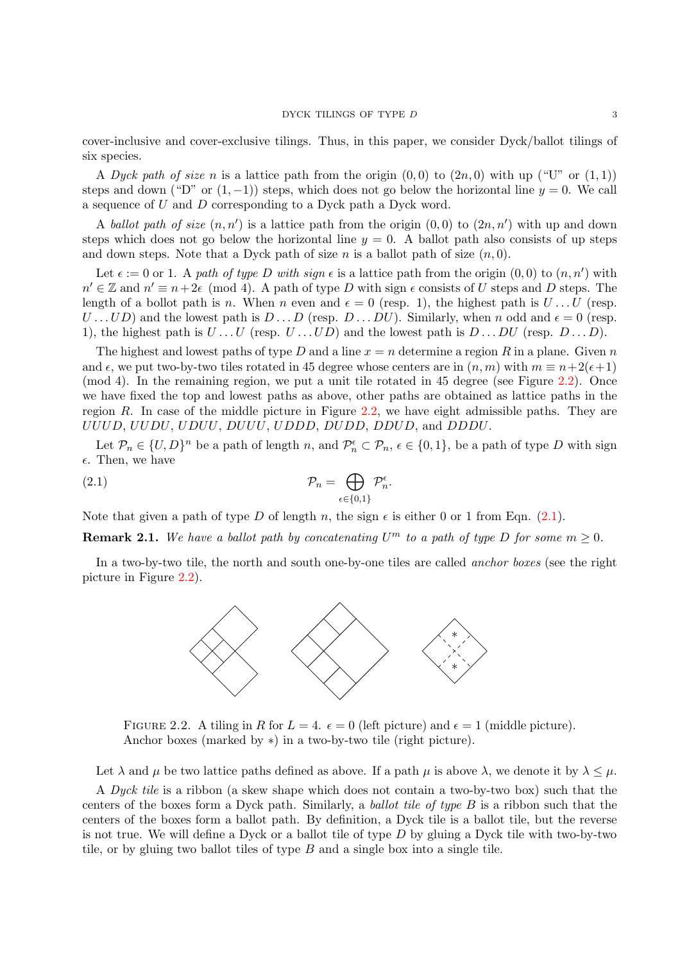cover-inclusive and cover-exclusive tilings. Thus, in this paper, we consider Dyck/ballot tilings of six species.

A Dyck path of size n is a lattice path from the origin  $(0,0)$  to  $(2n,0)$  with up ("U" or  $(1,1)$ ) steps and down ("D" or  $(1, -1)$ ) steps, which does not go below the horizontal line  $y = 0$ . We call a sequence of U and D corresponding to a Dyck path a Dyck word.

A ballot path of size  $(n, n')$  is a lattice path from the origin  $(0, 0)$  to  $(2n, n')$  with up and down steps which does not go below the horizontal line  $y = 0$ . A ballot path also consists of up steps and down steps. Note that a Dyck path of size n is a ballot path of size  $(n, 0)$ .

Let  $\epsilon := 0$  or 1. A path of type D with sign  $\epsilon$  is a lattice path from the origin  $(0,0)$  to  $(n,n')$  with  $n' \in \mathbb{Z}$  and  $n' \equiv n+2\epsilon \pmod{4}$ . A path of type D with sign  $\epsilon$  consists of U steps and D steps. The length of a bollot path is n. When n even and  $\epsilon = 0$  (resp. 1), the highest path is  $U \dots U$  (resp.  $U \dots UD$ ) and the lowest path is  $D \dots D$  (resp.  $D \dots DU$ ). Similarly, when n odd and  $\epsilon = 0$  (resp. 1), the highest path is  $U \dots U$  (resp.  $U \dots UD$ ) and the lowest path is  $D \dots DU$  (resp.  $D \dots D$ ).

The highest and lowest paths of type D and a line  $x = n$  determine a region R in a plane. Given n and  $\epsilon$ , we put two-by-two tiles rotated in 45 degree whose centers are in  $(n, m)$  with  $m \equiv n+2(\epsilon+1)$ (mod 4). In the remaining region, we put a unit tile rotated in 45 degree (see Figure [2.2\)](#page-2-0). Once we have fixed the top and lowest paths as above, other paths are obtained as lattice paths in the region R. In case of the middle picture in Figure  $2.2$ , we have eight admissible paths. They are UUUD, UUDU, UDUU, DUUU, UDDD, DUDD, DDUD, and DDDU.

Let  $\mathcal{P}_n \in \{U, D\}^n$  be a path of length n, and  $\mathcal{P}_n^{\epsilon} \subset \mathcal{P}_n$ ,  $\epsilon \in \{0, 1\}$ , be a path of type D with sign  $\epsilon$ . Then, we have

<span id="page-2-1"></span>(2.1) 
$$
\mathcal{P}_n = \bigoplus_{\epsilon \in \{0,1\}} \mathcal{P}_n^{\epsilon}.
$$

Note that given a path of type D of length n, the sign  $\epsilon$  is either 0 or 1 from Eqn. [\(2.1\)](#page-2-1).

**Remark 2.1.** We have a ballot path by concatenating  $U^m$  to a path of type D for some  $m \geq 0$ .

In a two-by-two tile, the north and south one-by-one tiles are called *anchor boxes* (see the right picture in Figure [2.2\)](#page-2-0).



<span id="page-2-0"></span>FIGURE 2.2. A tiling in R for  $L = 4$ .  $\epsilon = 0$  (left picture) and  $\epsilon = 1$  (middle picture). Anchor boxes (marked by ∗) in a two-by-two tile (right picture).

Let  $\lambda$  and  $\mu$  be two lattice paths defined as above. If a path  $\mu$  is above  $\lambda$ , we denote it by  $\lambda \leq \mu$ .

A Dyck tile is a ribbon (a skew shape which does not contain a two-by-two box) such that the centers of the boxes form a Dyck path. Similarly, a ballot tile of type B is a ribbon such that the centers of the boxes form a ballot path. By definition, a Dyck tile is a ballot tile, but the reverse is not true. We will define a Dyck or a ballot tile of type  $D$  by gluing a Dyck tile with two-by-two tile, or by gluing two ballot tiles of type  $B$  and a single box into a single tile.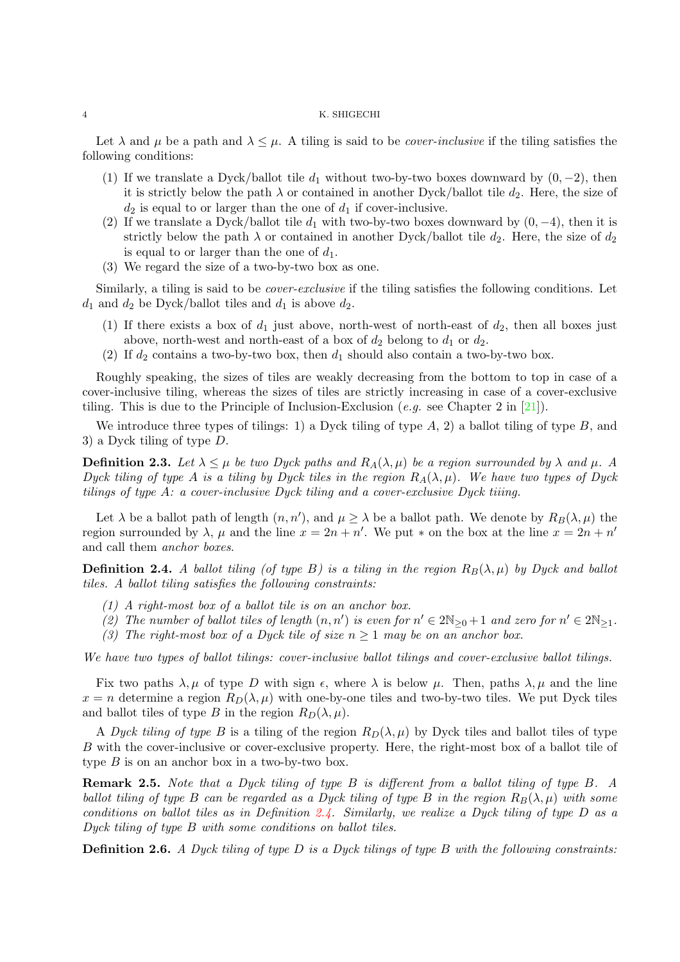Let  $\lambda$  and  $\mu$  be a path and  $\lambda \leq \mu$ . A tiling is said to be *cover-inclusive* if the tiling satisfies the following conditions:

- (1) If we translate a Dyck/ballot tile  $d_1$  without two-by-two boxes downward by  $(0, -2)$ , then it is strictly below the path  $\lambda$  or contained in another Dyck/ballot tile  $d_2$ . Here, the size of  $d_2$  is equal to or larger than the one of  $d_1$  if cover-inclusive.
- (2) If we translate a Dyck/ballot tile  $d_1$  with two-by-two boxes downward by  $(0, -4)$ , then it is strictly below the path  $\lambda$  or contained in another Dyck/ballot tile  $d_2$ . Here, the size of  $d_2$ is equal to or larger than the one of  $d_1$ .
- (3) We regard the size of a two-by-two box as one.

Similarly, a tiling is said to be cover-exclusive if the tiling satisfies the following conditions. Let  $d_1$  and  $d_2$  be Dyck/ballot tiles and  $d_1$  is above  $d_2$ .

- (1) If there exists a box of  $d_1$  just above, north-west of north-east of  $d_2$ , then all boxes just above, north-west and north-east of a box of  $d_2$  belong to  $d_1$  or  $d_2$ .
- (2) If  $d_2$  contains a two-by-two box, then  $d_1$  should also contain a two-by-two box.

Roughly speaking, the sizes of tiles are weakly decreasing from the bottom to top in case of a cover-inclusive tiling, whereas the sizes of tiles are strictly increasing in case of a cover-exclusive tiling. This is due to the Principle of Inclusion-Exclusion (e.g. see Chapter 2 in [\[21\]](#page-13-20)).

We introduce three types of tilings: 1) a Dyck tiling of type  $A$ , 2) a ballot tiling of type  $B$ , and 3) a Dyck tiling of type D.

**Definition 2.3.** Let  $\lambda \leq \mu$  be two Dyck paths and  $R_A(\lambda, \mu)$  be a region surrounded by  $\lambda$  and  $\mu$ . A Dyck tiling of type A is a tiling by Dyck tiles in the region  $R_A(\lambda, \mu)$ . We have two types of Dyck tilings of type A: a cover-inclusive Dyck tiling and a cover-exclusive Dyck tiiing.

Let  $\lambda$  be a ballot path of length  $(n, n')$ , and  $\mu \geq \lambda$  be a ballot path. We denote by  $R_B(\lambda, \mu)$  the region surrounded by  $\lambda$ ,  $\mu$  and the line  $x = 2n + n'$ . We put  $*$  on the box at the line  $x = 2n + n'$ and call them anchor boxes.

<span id="page-3-0"></span>**Definition 2.4.** A ballot tiling (of type B) is a tiling in the region  $R_B(\lambda, \mu)$  by Dyck and ballot tiles. A ballot tiling satisfies the following constraints:

- (1) A right-most box of a ballot tile is on an anchor box.
- (2) The number of ballot tiles of length  $(n, n')$  is even for  $n' \in 2\mathbb{N}_{\geq 0} + 1$  and zero for  $n' \in 2\mathbb{N}_{\geq 1}$ .
- (3) The right-most box of a Dyck tile of size  $n \geq 1$  may be on an anchor box.

We have two types of ballot tilings: cover-inclusive ballot tilings and cover-exclusive ballot tilings.

Fix two paths  $\lambda, \mu$  of type D with sign  $\epsilon$ , where  $\lambda$  is below  $\mu$ . Then, paths  $\lambda, \mu$  and the line  $x = n$  determine a region  $R_D(\lambda, \mu)$  with one-by-one tiles and two-by-two tiles. We put Dyck tiles and ballot tiles of type B in the region  $R_D(\lambda, \mu)$ .

A Dyck tiling of type B is a tiling of the region  $R_D(\lambda, \mu)$  by Dyck tiles and ballot tiles of type B with the cover-inclusive or cover-exclusive property. Here, the right-most box of a ballot tile of type  $B$  is on an anchor box in a two-by-two box.

Remark 2.5. Note that a Dyck tiling of type B is different from a ballot tiling of type B. A ballot tiling of type B can be regarded as a Dyck tiling of type B in the region  $R_B(\lambda, \mu)$  with some conditions on ballot tiles as in Definition [2.4.](#page-3-0) Similarly, we realize a Dyck tiling of type  $D$  as a Dyck tiling of type B with some conditions on ballot tiles.

<span id="page-3-1"></span>**Definition 2.6.** A Dyck tiling of type D is a Dyck tilings of type B with the following constraints: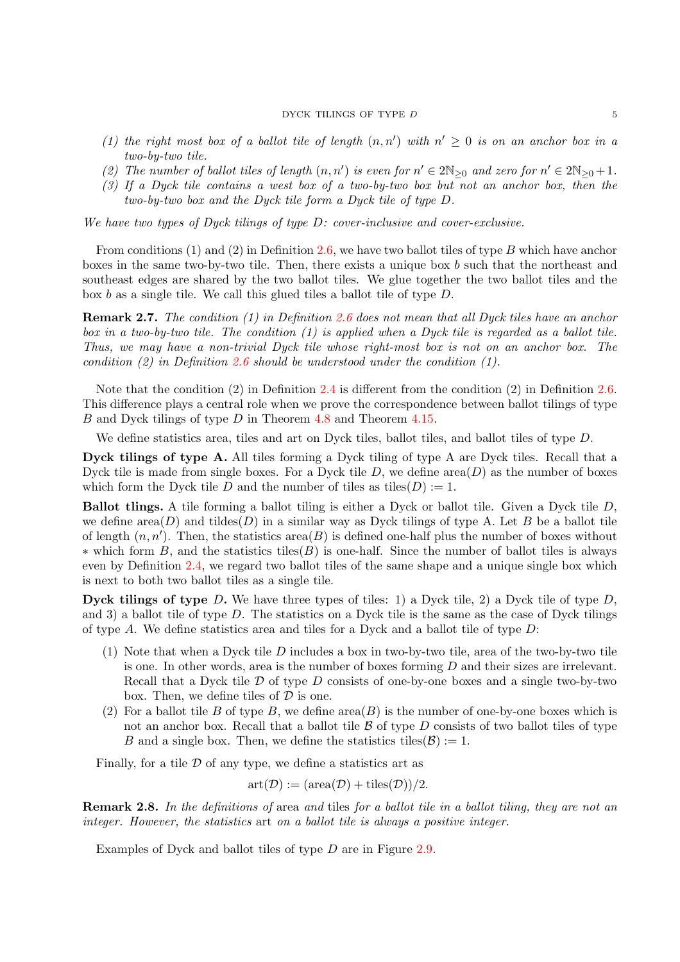### $\begin{tabular}{ll} DYCK TILINGS OF TYPE $D$ & \hspace{2.5cm} $5$ \\ \hline \end{tabular}$

- (1) the right most box of a ballot tile of length  $(n, n')$  with  $n' \geq 0$  is on an anchor box in a two-by-two tile.
- (2) The number of ballot tiles of length  $(n, n')$  is even for  $n' \in 2\mathbb{N}_{\geq 0}$  and zero for  $n' \in 2\mathbb{N}_{\geq 0} + 1$ .
- (3) If a Dyck tile contains a west box of a two-by-two box but not an anchor box, then the two-by-two box and the Dyck tile form a Dyck tile of type D.

We have two types of Dyck tilings of type D: cover-inclusive and cover-exclusive.

From conditions (1) and (2) in Definition [2.6,](#page-3-1) we have two ballot tiles of type B which have anchor boxes in the same two-by-two tile. Then, there exists a unique box b such that the northeast and southeast edges are shared by the two ballot tiles. We glue together the two ballot tiles and the box b as a single tile. We call this glued tiles a ballot tile of type D.

Remark 2.7. The condition (1) in Definition [2.6](#page-3-1) does not mean that all Dyck tiles have an anchor box in a two-by-two tile. The condition  $(1)$  is applied when a Dyck tile is regarded as a ballot tile. Thus, we may have a non-trivial Dyck tile whose right-most box is not on an anchor box. The condition (2) in Definition [2.6](#page-3-1) should be understood under the condition (1).

Note that the condition (2) in Definition [2.4](#page-3-0) is different from the condition (2) in Definition [2.6.](#page-3-1) This difference plays a central role when we prove the correspondence between ballot tilings of type B and Dyck tilings of type D in Theorem [4.8](#page-10-0) and Theorem [4.15.](#page-13-21)

We define statistics area, tiles and art on Dyck tiles, ballot tiles, and ballot tiles of type D.

Dyck tilings of type A. All tiles forming a Dyck tiling of type A are Dyck tiles. Recall that a Dyck tile is made from single boxes. For a Dyck tile  $D$ , we define area $(D)$  as the number of boxes which form the Dyck tile D and the number of tiles as tiles  $(D) := 1$ .

Ballot tlings. A tile forming a ballot tiling is either a Dyck or ballot tile. Given a Dyck tile D, we define area $(D)$  and tildes $(D)$  in a similar way as Dyck tilings of type A. Let B be a ballot tile of length  $(n, n')$ . Then, the statistics area $(B)$  is defined one-half plus the number of boxes without  $*$  which form B, and the statistics tiles(B) is one-half. Since the number of ballot tiles is always even by Definition [2.4,](#page-3-0) we regard two ballot tiles of the same shape and a unique single box which is next to both two ballot tiles as a single tile.

**Dyck tilings of type** D. We have three types of tiles: 1) a Dyck tile, 2) a Dyck tile of type  $D$ , and 3) a ballot tile of type D. The statistics on a Dyck tile is the same as the case of Dyck tilings of type  $A$ . We define statistics area and tiles for a Dyck and a ballot tile of type  $D$ :

- $(1)$  Note that when a Dyck tile D includes a box in two-by-two tile, area of the two-by-two tile is one. In other words, area is the number of boxes forming  $D$  and their sizes are irrelevant. Recall that a Dyck tile  $\mathcal D$  of type  $D$  consists of one-by-one boxes and a single two-by-two box. Then, we define tiles of  $\mathcal D$  is one.
- (2) For a ballot tile B of type B, we define  $area(B)$  is the number of one-by-one boxes which is not an anchor box. Recall that a ballot tile  $\beta$  of type D consists of two ballot tiles of type B and a single box. Then, we define the statistics tiles  $(\mathcal{B}) := 1$ .

Finally, for a tile  $D$  of any type, we define a statistics art as

$$
art(\mathcal{D}) := (area(\mathcal{D}) + tiles(\mathcal{D}))/2.
$$

Remark 2.8. In the definitions of area and tiles for a ballot tile in a ballot tiling, they are not an integer. However, the statistics art on a ballot tile is always a positive integer.

Examples of Dyck and ballot tiles of type D are in Figure [2.9.](#page-5-1)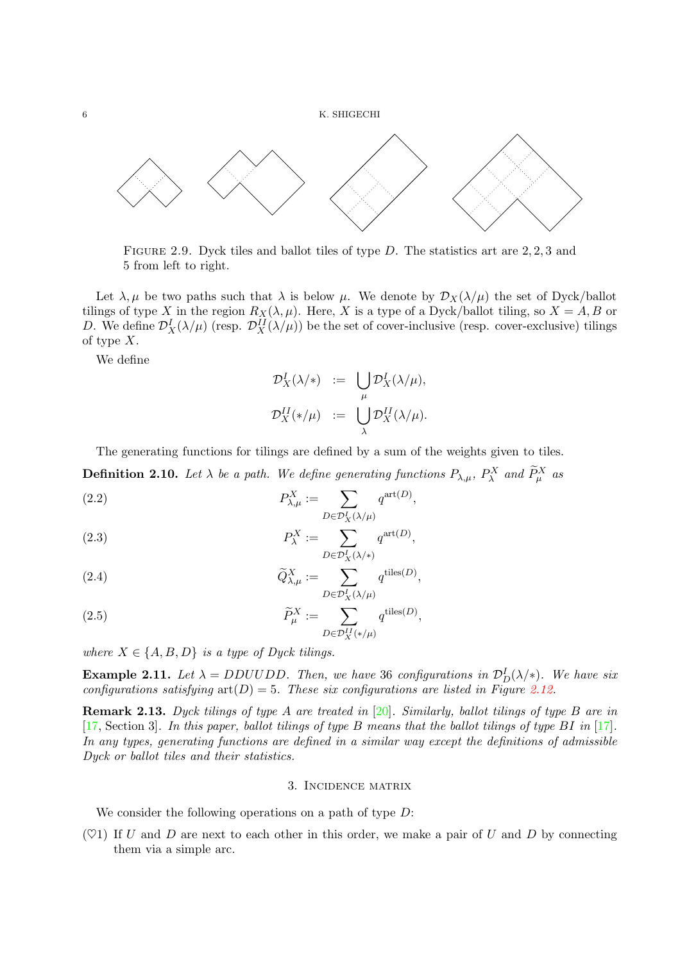

<span id="page-5-1"></span>FIGURE 2.9. Dyck tiles and ballot tiles of type  $D$ . The statistics art are 2, 2, 3 and 5 from left to right.

Let  $\lambda, \mu$  be two paths such that  $\lambda$  is below  $\mu$ . We denote by  $\mathcal{D}_X(\lambda/\mu)$  the set of Dyck/ballot tilings of type X in the region  $R_X(\lambda, \mu)$ . Here, X is a type of a Dyck/ballot tiling, so  $X = A, B$  or D. We define  $\mathcal{D}_X^I(\lambda/\mu)$  (resp.  $\mathcal{D}_X^{II}(\lambda/\mu)$ ) be the set of cover-inclusive (resp. cover-exclusive) tilings of type  $X$ .

We define

$$
\mathcal{D}_X^I(\lambda/\ast) := \bigcup_{\mu} \mathcal{D}_X^I(\lambda/\mu),
$$
  

$$
\mathcal{D}_X^{II}(\ast/\mu) := \bigcup_{\lambda} \mathcal{D}_X^{II}(\lambda/\mu).
$$

The generating functions for tilings are defined by a sum of the weights given to tiles.

**Definition 2.10.** Let  $\lambda$  be a path. We define generating functions  $P_{\lambda,\mu}$ ,  $P_{\lambda}^X$  and  $\tilde{P}_{\mu}^X$  as

(2.2) 
$$
P_{\lambda,\mu}^X := \sum_{D \in \mathcal{D}_X^I(\lambda/\mu)} q^{\text{art}(D)},
$$

<span id="page-5-2"></span>(2.3) 
$$
P_{\lambda}^{X} := \sum_{D \in \mathcal{D}_{X}^{I}(\lambda/\ast)} q^{\text{art}(D)},
$$

(2.4) 
$$
\widetilde{Q}_{\lambda,\mu}^X := \sum_{D \in \mathcal{D}_X^I(\lambda/\mu)} q^{\text{tiles}(D)},
$$

(2.5) 
$$
\widetilde{P}_{\mu}^{X} := \sum_{D \in \mathcal{D}_{X}^{II}(\ast/\mu)} q^{\text{tiles}(D)},
$$

where  $X \in \{A, B, D\}$  is a type of Dyck tilings.

**Example 2.11.** Let  $\lambda = DDUUDD$ . Then, we have 36 configurations in  $\mathcal{D}_D^I(\lambda/\ast)$ . We have six configurations satisfying  $art(D) = 5$ . These six configurations are listed in Figure [2.12.](#page-6-0)

**Remark 2.13.** Dyck tilings of type A are treated in  $[20]$ . Similarly, ballot tilings of type B are in [\[17,](#page-13-13) Section 3]. In this paper, ballot tilings of type B means that the ballot tilings of type BI in [\[17\]](#page-13-13). In any types, generating functions are defined in a similar way except the definitions of admissible Dyck or ballot tiles and their statistics.

# 3. Incidence matrix

<span id="page-5-0"></span>We consider the following operations on a path of type  $D$ :

 $(\heartsuit 1)$  If U and D are next to each other in this order, we make a pair of U and D by connecting them via a simple arc.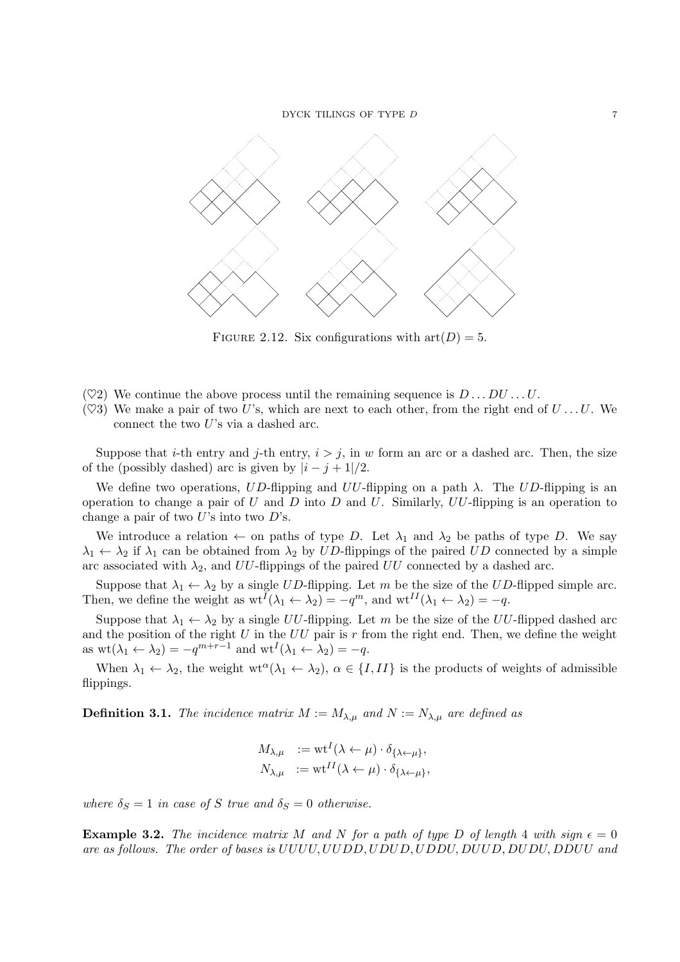

<span id="page-6-0"></span>FIGURE 2.12. Six configurations with  $art(D) = 5$ .

- $(\heartsuit 2)$  We continue the above process until the remaining sequence is  $D \dots D U \dots U$ .
- $(\heartsuit 3)$  We make a pair of two U's, which are next to each other, from the right end of  $U \dots U$ . We connect the two  $U$ 's via a dashed arc.

Suppose that *i*-th entry and *j*-th entry,  $i > j$ , in w form an arc or a dashed arc. Then, the size of the (possibly dashed) arc is given by  $|i - j + 1|/2$ .

We define two operations, UD-flipping and UU-flipping on a path  $\lambda$ . The UD-flipping is an operation to change a pair of U and D into D and U. Similarly,  $UU$ -flipping is an operation to change a pair of two  $U$ 's into two  $D$ 's.

We introduce a relation  $\leftarrow$  on paths of type D. Let  $\lambda_1$  and  $\lambda_2$  be paths of type D. We say  $\lambda_1 \leftarrow \lambda_2$  if  $\lambda_1$  can be obtained from  $\lambda_2$  by UD-flippings of the paired UD connected by a simple arc associated with  $\lambda_2$ , and UU-flippings of the paired UU connected by a dashed arc.

Suppose that  $\lambda_1 \leftarrow \lambda_2$  by a single UD-flipping. Let m be the size of the UD-flipped simple arc. Then, we define the weight as  $\mathrm{wt}^I(\lambda_1 \leftarrow \lambda_2) = -q^m$ , and  $\mathrm{wt}^I(\lambda_1 \leftarrow \lambda_2) = -q$ .

Suppose that  $\lambda_1 \leftarrow \lambda_2$  by a single UU-flipping. Let m be the size of the UU-flipped dashed arc and the position of the right U in the UU pair is r from the right end. Then, we define the weight as  $\text{wt}(\lambda_1 \leftarrow \lambda_2) = -q^{m+r-1}$  and  $\text{wt}^I(\lambda_1 \leftarrow \lambda_2) = -q$ .

When  $\lambda_1 \leftarrow \lambda_2$ , the weight wt<sup> $\alpha(\lambda_1 \leftarrow \lambda_2)$ ,  $\alpha \in \{I, II\}$  is the products of weights of admissible</sup> flippings.

**Definition 3.1.** The incidence matrix  $M := M_{\lambda,\mu}$  and  $N := N_{\lambda,\mu}$  are defined as

$$
M_{\lambda,\mu} := \text{wt}^I(\lambda \leftarrow \mu) \cdot \delta_{\{\lambda \leftarrow \mu\}},
$$
  

$$
N_{\lambda,\mu} := \text{wt}^{II}(\lambda \leftarrow \mu) \cdot \delta_{\{\lambda \leftarrow \mu\}},
$$

where  $\delta_S = 1$  in case of S true and  $\delta_S = 0$  otherwise.

<span id="page-6-1"></span>**Example 3.2.** The incidence matrix M and N for a path of type D of length 4 with sign  $\epsilon = 0$ are as follows. The order of bases is UUUU, UUDD, UDUD, UDDU, DUUD, DUDU, DDUU and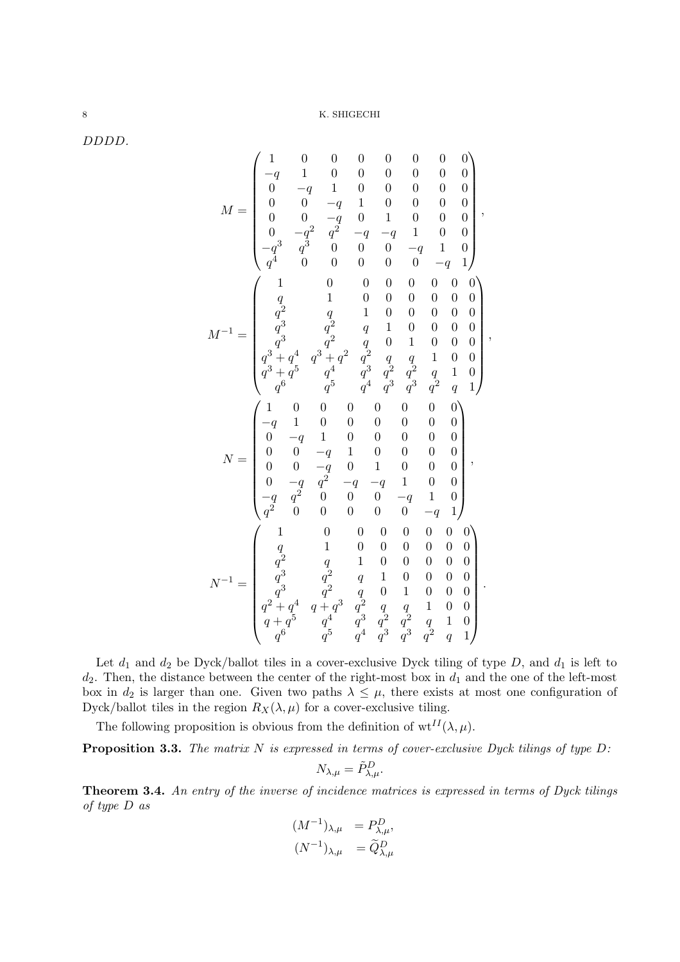DDDD.

$$
M = \begin{pmatrix} 1 & 0 & 0 & 0 & 0 & 0 & 0 & 0 & 0 \\ -q & 1 & 0 & 0 & 0 & 0 & 0 & 0 & 0 \\ 0 & -q & 1 & 0 & 0 & 0 & 0 & 0 & 0 \\ 0 & 0 & -q & 1 & 0 & 0 & 0 & 0 & 0 \\ 0 & 0 & -q & 0 & 1 & 0 & 0 & 0 & 0 \\ 0 & -q^2 & q^2 & -q & -q & 1 & 0 & 0 \\ q^3 & q^3 & 0 & 0 & 0 & -q & 1 & 0 \\ q^4 & 0 & 0 & 0 & 0 & 0 & 0 & 0 & 0 \\ q^2 & q & 1 & 0 & 0 & 0 & 0 & 0 & 0 \\ q^3 & q^2 & q & 1 & 0 & 0 & 0 & 0 & 0 \\ q^3 & q^2 & q & 0 & 1 & 0 & 0 & 0 & 0 \\ q^3 + q^4 & q^3 + q^2 & q^2 & q & q & 1 & 0 & 0 \\ q^4 + q^5 & q^4 & q^3 & q^2 & q^2 & q & 1 & 0 \\ q^6 & q^5 & q^4 & q^3 & q^3 & q^2 & q & 1 \\ q^6 & q^5 & q^4 & q^3 & q^3 & q^2 & q & 1 \\ 0 & 0 & -q & 1 & 0 & 0 & 0 & 0 & 0 \\ 0 & -q & 1 & 0 & 0 & 0 & 0 & 0 & 0 \\ 0 & 0 & -q & 1 & 0 & 0 & 0 & 0 & 0 \\ 0 & 0 & -q & 0 & 1 & 0 & 0 & 0 & 0 \\ 0 & 0 & -q & 0 & 1 & 0 & 0 & 0 & 0 \\ 0 & q^2 & q & 0 & 0 & 0 & 0 & -q & 1 \\ q^2 & 0 & 0 & 0 & 0 & 0 & 0 & 0 & 0 \\ q^2 & q & 1 & 0 & 0 & 0 & 0 & 0 & 0 \\ q^3 & q^2 & q & 1 & 0 & 0 & 0 & 0 & 0 \\ q^3 & q^2 & q & q & 1 & 0 & 0 & 0 & 0 \\ q^4 + q^5 & q^4 & q^3 & q^2 & q^2 & q & 1 & 0 \\ q^6 & q^5 & q^4 & q^3 & q^3 & q^2 & q
$$

Let  $d_1$  and  $d_2$  be Dyck/ballot tiles in a cover-exclusive Dyck tiling of type D, and  $d_1$  is left to  $d_2$ . Then, the distance between the center of the right-most box in  $d_1$  and the one of the left-most box in  $d_2$  is larger than one. Given two paths  $\lambda \leq \mu$ , there exists at most one configuration of Dyck/ballot tiles in the region  $R_X(\lambda, \mu)$  for a cover-exclusive tiling.

The following proposition is obvious from the definition of  $wt^{II}(\lambda,\mu)$ .

**Proposition 3.3.** The matrix N is expressed in terms of cover-exclusive Dyck tilings of type  $D$ :

$$
N_{\lambda,\mu} = \tilde{P}^D_{\lambda,\mu}.
$$

Theorem 3.4. An entry of the inverse of incidence matrices is expressed in terms of Dyck tilings of type D as

$$
(M^{-1})_{\lambda,\mu} = P_{\lambda,\mu}^D,
$$
  

$$
(N^{-1})_{\lambda,\mu} = \widetilde{Q}_{\lambda,\mu}^D
$$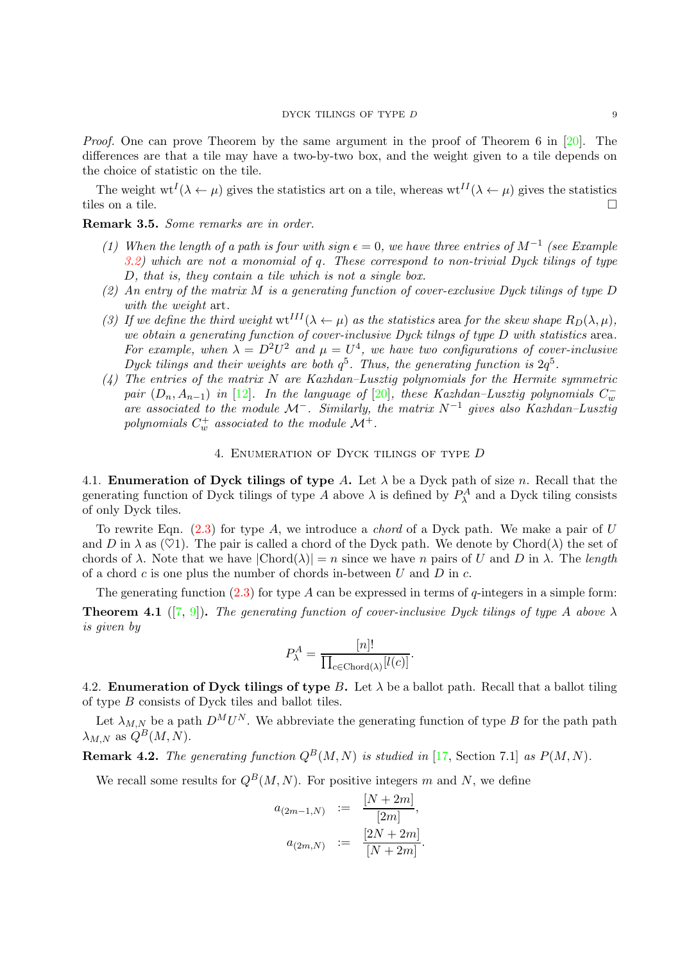Proof. One can prove Theorem by the same argument in the proof of Theorem 6 in [\[20\]](#page-13-2). The differences are that a tile may have a two-by-two box, and the weight given to a tile depends on the choice of statistic on the tile.

The weight  $wt^{I}(\lambda \leftarrow \mu)$  gives the statistics art on a tile, whereas  $wt^{II}(\lambda \leftarrow \mu)$  gives the statistics tiles on a tile.  $\Box$ 

Remark 3.5. Some remarks are in order.

- (1) When the length of a path is four with sign  $\epsilon = 0$ , we have three entries of  $M^{-1}$  (see Example  $3.2$ ) which are not a monomial of q. These correspond to non-trivial Dyck tilings of type D, that is, they contain a tile which is not a single box.
- (2) An entry of the matrix M is a generating function of cover-exclusive Dyck tilings of type D with the weight art.
- (3) If we define the third weight  $\text{wt}^{III}(\lambda \leftarrow \mu)$  as the statistics area for the skew shape  $R_D(\lambda, \mu)$ , we obtain a generating function of cover-inclusive Dyck tilngs of type D with statistics area. For example, when  $\lambda = D^2 U^2$  and  $\mu = U^4$ , we have two configurations of cover-inclusive Dyck tilings and their weights are both  $q^5$ . Thus, the generating function is  $2q^5$ .
- (4) The entries of the matrix N are Kazhdan–Lusztig polynomials for the Hermite symmetric pair  $(D_n, A_{n-1})$  in [\[12\]](#page-13-18). In the language of [\[20\]](#page-13-2), these Kazhdan–Lusztig polynomials  $C_w^$ are associated to the module  $\mathcal{M}^-$ . Similarly, the matrix  $N^{-1}$  gives also Kazhdan–Lusztig polynomials  $C_w^+$  associated to the module  $\mathcal{M}^+$ .

### 4. Enumeration of Dyck tilings of type D

<span id="page-8-0"></span>4.1. **Enumeration of Dyck tilings of type** A. Let  $\lambda$  be a Dyck path of size n. Recall that the generating function of Dyck tilings of type A above  $\lambda$  is defined by  $P_{\lambda}^A$  and a Dyck tiling consists of only Dyck tiles.

To rewrite Eqn.  $(2.3)$  for type A, we introduce a *chord* of a Dyck path. We make a pair of U and D in  $\lambda$  as ( $\heartsuit$ 1). The pair is called a chord of the Dyck path. We denote by Chord( $\lambda$ ) the set of chords of  $\lambda$ . Note that we have  $|\text{Chord}(\lambda)| = n$  since we have n pairs of U and D in  $\lambda$ . The length of a chord  $c$  is one plus the number of chords in-between  $U$  and  $D$  in  $c$ .

The generating function  $(2.3)$  for type A can be expressed in terms of q-integers in a simple form: **Theorem 4.1** ([\[7,](#page-13-3) [9\]](#page-13-5)). The generating function of cover-inclusive Dyck tilings of type A above  $\lambda$ is given by

$$
P_{\lambda}^{A} = \frac{[n]!}{\prod_{c \in \text{Chord}(\lambda)} [l(c)]}.
$$

<span id="page-8-1"></span>4.2. **Enumeration of Dyck tilings of type** B. Let  $\lambda$  be a ballot path. Recall that a ballot tiling of type B consists of Dyck tiles and ballot tiles.

Let  $\lambda_{M,N}$  be a path  $D^M U^N$ . We abbreviate the generating function of type B for the path path  $\lambda_{M,N}$  as  $Q^B(M,N)$ .

**Remark 4.2.** The generating function  $Q^B(M, N)$  is studied in [\[17,](#page-13-13) Section 7.1] as  $P(M, N)$ .

We recall some results for  $Q^B(M, N)$ . For positive integers m and N, we define

$$
a_{(2m-1,N)} := \frac{[N+2m]}{[2m]},
$$
  

$$
a_{(2m,N)} := \frac{[2N+2m]}{[N+2m]}.
$$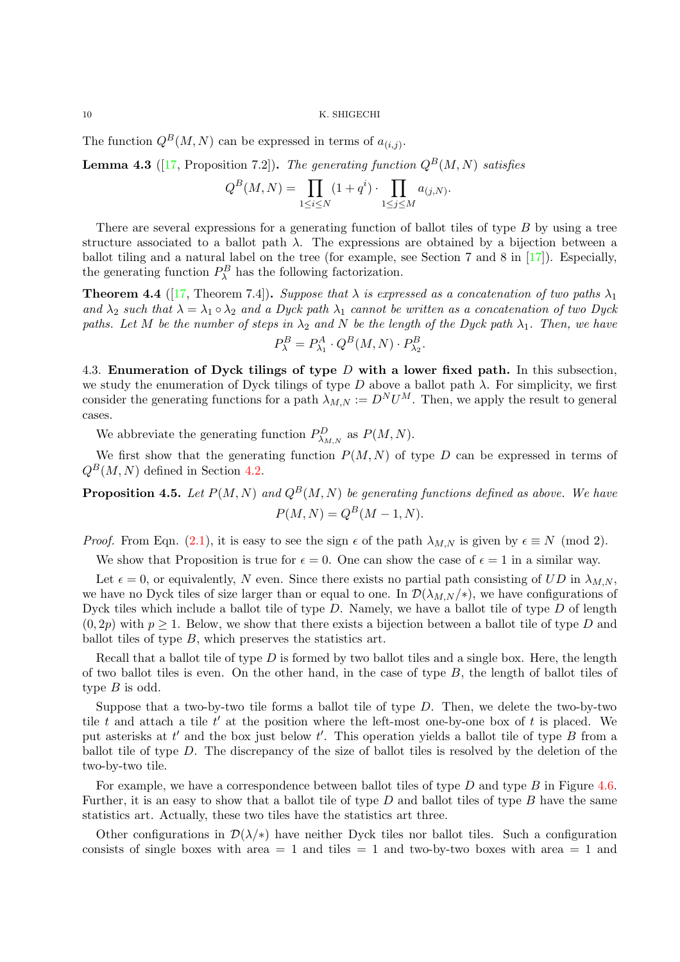The function  $Q^B(M, N)$  can be expressed in terms of  $a_{(i,j)}$ .

**Lemma 4.3** ([\[17,](#page-13-13) Proposition 7.2]). The generating function  $Q^B(M, N)$  satisfies

$$
Q^B(M,N)=\prod_{1\leq i\leq N}(1+q^i)\cdot \prod_{1\leq j\leq M}a_{(j,N)}.
$$

There are several expressions for a generating function of ballot tiles of type B by using a tree structure associated to a ballot path  $\lambda$ . The expressions are obtained by a bijection between a ballot tiling and a natural label on the tree (for example, see Section 7 and 8 in [\[17\]](#page-13-13)). Especially, the generating function  $P_{\lambda}^{B}$  has the following factorization.

**Theorem 4.4** ([\[17,](#page-13-13) Theorem 7.4]). Suppose that  $\lambda$  is expressed as a concatenation of two paths  $\lambda_1$ and  $\lambda_2$  such that  $\lambda = \lambda_1 \circ \lambda_2$  and a Dyck path  $\lambda_1$  cannot be written as a concatenation of two Dyck paths. Let M be the number of steps in  $\lambda_2$  and N be the length of the Dyck path  $\lambda_1$ . Then, we have

$$
P_{\lambda}^{B} = P_{\lambda_1}^{A} \cdot Q^{B}(M, N) \cdot P_{\lambda_2}^{B}.
$$

4.3. Enumeration of Dyck tilings of type  $D$  with a lower fixed path. In this subsection, we study the enumeration of Dyck tilings of type D above a ballot path  $\lambda$ . For simplicity, we first consider the generating functions for a path  $\lambda_{M,N} := D^N U^M$ . Then, we apply the result to general cases.

We abbreviate the generating function  $P_{\lambda_{M,N}}^D$  as  $P(M, N)$ .

We first show that the generating function  $P(M, N)$  of type D can be expressed in terms of  $Q^B(M, N)$  defined in Section [4.2.](#page-8-1)

<span id="page-9-0"></span>**Proposition 4.5.** Let  $P(M, N)$  and  $Q^B(M, N)$  be generating functions defined as above. We have  $P(M, N) = Q^{B}(M - 1, N).$ 

*Proof.* From Eqn. [\(2.1\)](#page-2-1), it is easy to see the sign  $\epsilon$  of the path  $\lambda_{M,N}$  is given by  $\epsilon \equiv N \pmod{2}$ .

We show that Proposition is true for  $\epsilon = 0$ . One can show the case of  $\epsilon = 1$  in a similar way.

Let  $\epsilon = 0$ , or equivalently, N even. Since there exists no partial path consisting of UD in  $\lambda_{MN}$ , we have no Dyck tiles of size larger than or equal to one. In  $\mathcal{D}(\lambda_{M,N}/*)$ , we have configurations of Dyck tiles which include a ballot tile of type  $D$ . Namely, we have a ballot tile of type  $D$  of length  $(0, 2p)$  with  $p \geq 1$ . Below, we show that there exists a bijection between a ballot tile of type D and ballot tiles of type  $B$ , which preserves the statistics art.

Recall that a ballot tile of type  $D$  is formed by two ballot tiles and a single box. Here, the length of two ballot tiles is even. On the other hand, in the case of type  $B$ , the length of ballot tiles of type  $B$  is odd.

Suppose that a two-by-two tile forms a ballot tile of type D. Then, we delete the two-by-two tile t and attach a tile  $t'$  at the position where the left-most one-by-one box of t is placed. We put asterisks at  $t'$  and the box just below  $t'$ . This operation yields a ballot tile of type  $B$  from a ballot tile of type D. The discrepancy of the size of ballot tiles is resolved by the deletion of the two-by-two tile.

For example, we have a correspondence between ballot tiles of type  $D$  and type  $B$  in Figure [4.6.](#page-10-1) Further, it is an easy to show that a ballot tile of type  $D$  and ballot tiles of type  $B$  have the same statistics art. Actually, these two tiles have the statistics art three.

Other configurations in  $\mathcal{D}(\lambda/\ast)$  have neither Dyck tiles nor ballot tiles. Such a configuration consists of single boxes with area  $= 1$  and tiles  $= 1$  and two-by-two boxes with area  $= 1$  and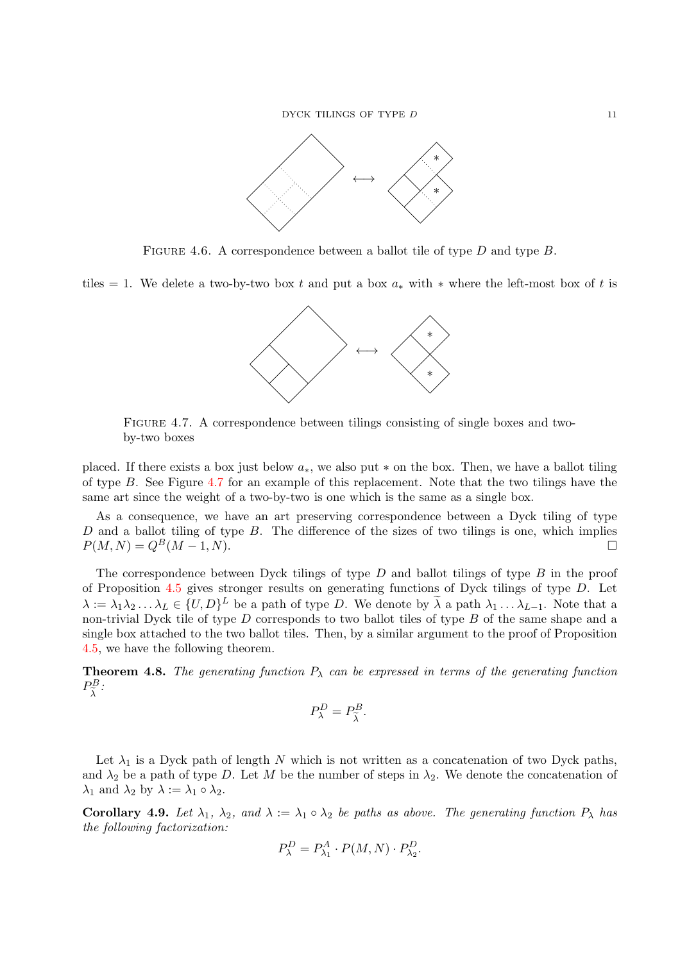

FIGURE 4.6. A correspondence between a ballot tile of type D and type B.

tiles = 1. We delete a two-by-two box t and put a box  $a_*$  with  $*$  where the left-most box of t is

<span id="page-10-1"></span>

<span id="page-10-2"></span>Figure 4.7. A correspondence between tilings consisting of single boxes and twoby-two boxes

placed. If there exists a box just below  $a_*,$  we also put  $*$  on the box. Then, we have a ballot tiling of type B. See Figure [4.7](#page-10-2) for an example of this replacement. Note that the two tilings have the same art since the weight of a two-by-two is one which is the same as a single box.

As a consequence, we have an art preserving correspondence between a Dyck tiling of type  $D$  and a ballot tiling of type  $B$ . The difference of the sizes of two tilings is one, which implies  $P(M, N) = Q^B(M - 1, N).$ 

The correspondence between Dyck tilings of type  $D$  and ballot tilings of type  $B$  in the proof of Proposition [4.5](#page-9-0) gives stronger results on generating functions of Dyck tilings of type D. Let  $\lambda := \lambda_1 \lambda_2 \ldots \lambda_L \in \{U, D\}^L$  be a path of type D. We denote by  $\tilde{\lambda}$  a path  $\lambda_1 \ldots \lambda_{L-1}$ . Note that a non-trivial Dyck tile of type D corresponds to two ballot tiles of type B of the same shape and a single box attached to the two ballot tiles. Then, by a similar argument to the proof of Proposition [4.5,](#page-9-0) we have the following theorem.

<span id="page-10-0"></span>**Theorem 4.8.** The generating function  $P_{\lambda}$  can be expressed in terms of the generating function  $P_{\widetilde{\lambda}}^{B}$  :

$$
P_{\lambda}^{D} = P_{\tilde{\lambda}}^{B}.
$$

Let  $\lambda_1$  is a Dyck path of length N which is not written as a concatenation of two Dyck paths, and  $\lambda_2$  be a path of type D. Let M be the number of steps in  $\lambda_2$ . We denote the concatenation of  $\lambda_1$  and  $\lambda_2$  by  $\lambda := \lambda_1 \circ \lambda_2$ .

Corollary 4.9. Let  $\lambda_1$ ,  $\lambda_2$ , and  $\lambda := \lambda_1 \circ \lambda_2$  be paths as above. The generating function  $P_\lambda$  has the following factorization:

$$
P_{\lambda}^{D} = P_{\lambda_1}^{A} \cdot P(M, N) \cdot P_{\lambda_2}^{D}.
$$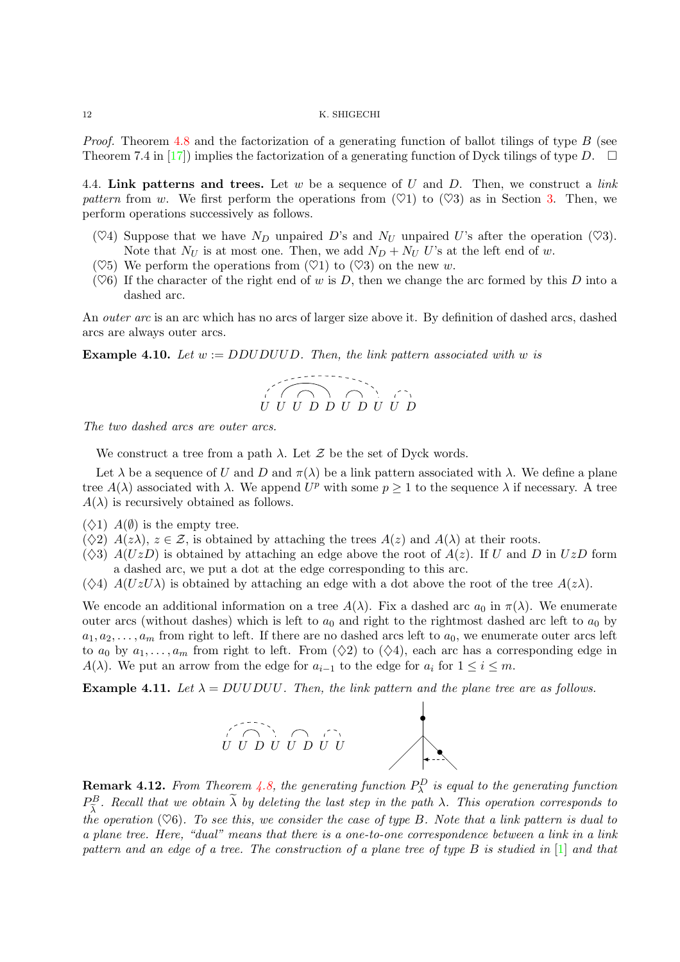*Proof.* Theorem [4.8](#page-10-0) and the factorization of a generating function of ballot tilings of type  $B$  (see Theorem 7.4 in [\[17\]](#page-13-13)) implies the factorization of a generating function of Dyck tilings of type D.  $\Box$ 

4.4. Link patterns and trees. Let w be a sequence of U and D. Then, we construct a link pattern from w. We first perform the operations from  $(\heartsuit 1)$  to  $(\heartsuit 3)$  as in Section [3.](#page-5-0) Then, we perform operations successively as follows.

- ( $\heartsuit$ 4) Suppose that we have  $N_D$  unpaired D's and  $N_U$  unpaired U's after the operation ( $\heartsuit$ 3). Note that  $N_U$  is at most one. Then, we add  $N_D + N_U$  U's at the left end of w.
- $(\heartsuit 5)$  We perform the operations from  $(\heartsuit 1)$  to  $(\heartsuit 3)$  on the new w.
- $(\heartsuit6)$  If the character of the right end of w is D, then we change the arc formed by this D into a dashed arc.

An *outer arc* is an arc which has no arcs of larger size above it. By definition of dashed arcs, dashed arcs are always outer arcs.

**Example 4.10.** Let  $w := DDUDUUD$ . Then, the link pattern associated with w is



The two dashed arcs are outer arcs.

We construct a tree from a path  $\lambda$ . Let  $\mathcal Z$  be the set of Dyck words.

Let  $\lambda$  be a sequence of U and D and  $\pi(\lambda)$  be a link pattern associated with  $\lambda$ . We define a plane tree  $A(\lambda)$  associated with  $\lambda$ . We append  $U^p$  with some  $p \geq 1$  to the sequence  $\lambda$  if necessary. A tree  $A(\lambda)$  is recursively obtained as follows.

- $(\diamondsuit 1)$   $A(\emptyset)$  is the empty tree.
- $(\diamondsuit 2)$   $A(z\lambda)$ ,  $z \in \mathcal{Z}$ , is obtained by attaching the trees  $A(z)$  and  $A(\lambda)$  at their roots.
- $(\diamondsuit 3)$   $A(UzD)$  is obtained by attaching an edge above the root of  $A(z)$ . If U and D in UzD form a dashed arc, we put a dot at the edge corresponding to this arc.
- $(\diamondsuit 4)$   $A(UzU\lambda)$  is obtained by attaching an edge with a dot above the root of the tree  $A(z\lambda)$ .

We encode an additional information on a tree  $A(\lambda)$ . Fix a dashed arc  $a_0$  in  $\pi(\lambda)$ . We enumerate outer arcs (without dashes) which is left to  $a_0$  and right to the rightmost dashed arc left to  $a_0$  by  $a_1, a_2, \ldots, a_m$  from right to left. If there are no dashed arcs left to  $a_0$ , we enumerate outer arcs left to  $a_0$  by  $a_1, \ldots, a_m$  from right to left. From  $(\Diamond 2)$  to  $(\Diamond 4)$ , each arc has a corresponding edge in  $A(\lambda)$ . We put an arrow from the edge for  $a_{i-1}$  to the edge for  $a_i$  for  $1 \leq i \leq m$ .

<span id="page-11-0"></span>**Example 4.11.** Let  $\lambda = DUDDU$ . Then, the link pattern and the plane tree are as follows.



**Remark 4.12.** From Theorem [4.8,](#page-10-0) the generating function  $P^D_\lambda$  is equal to the generating function  $P_{\tilde{\lambda}}^B$ . Recall that we obtain  $\tilde{\lambda}$  by deleting the last step in the path  $\lambda$ . This operation corresponds to the operation  $(\heartsuit 6)$ . To see this, we consider the case of type B. Note that a link pattern is dual to a plane tree. Here, "dual" means that there is a one-to-one correspondence between a link in a link pattern and an edge of a tree. The construction of a plane tree of type B is studied in [\[1\]](#page-13-16) and that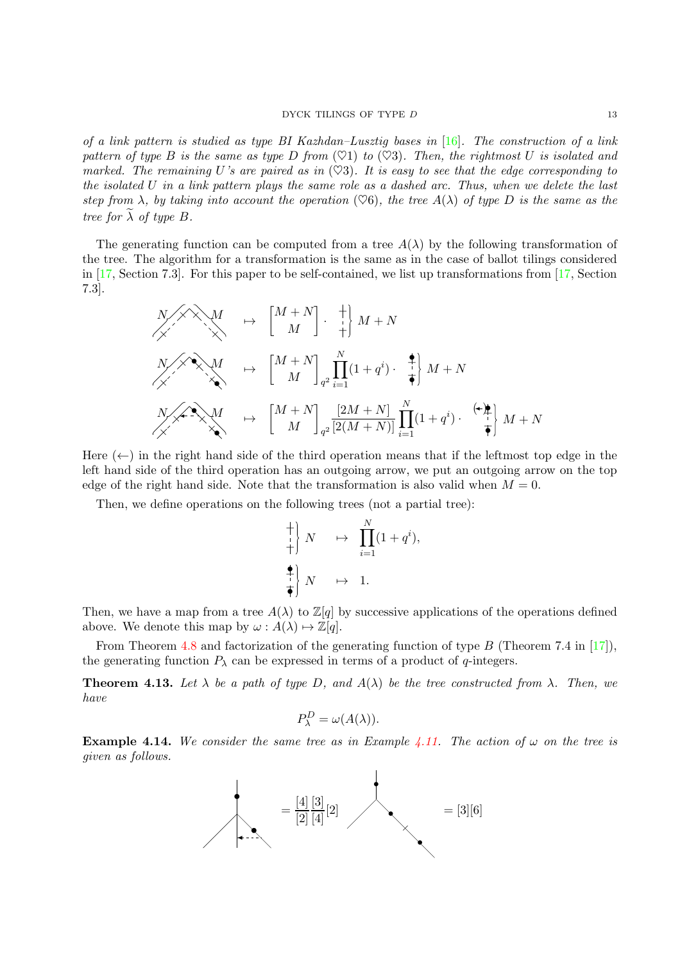#### DYCK TILINGS OF TYPE D 13

of a link pattern is studied as type BI Kazhdan–Lusztig bases in [\[16\]](#page-13-17). The construction of a link pattern of type B is the same as type D from  $(\heartsuit 1)$  to  $(\heartsuit 3)$ . Then, the rightmost U is isolated and marked. The remaining U's are paired as in  $(\heartsuit 3)$ . It is easy to see that the edge corresponding to the isolated U in a link pattern plays the same role as a dashed arc. Thus, when we delete the last step from  $\lambda$ , by taking into account the operation ( $\heartsuit 6$ ), the tree  $A(\lambda)$  of type D is the same as the tree for  $\lambda$  of type  $B$ .

The generating function can be computed from a tree  $A(\lambda)$  by the following transformation of the tree. The algorithm for a transformation is the same as in the case of ballot tilings considered in [\[17,](#page-13-13) Section 7.3]. For this paper to be self-contained, we list up transformations from [\[17,](#page-13-13) Section 7.3].

$$
\begin{array}{ccc}\nN \nearrow \searrow M & \mapsto & \begin{bmatrix} M+N \\ M \end{bmatrix} \cdot \begin{bmatrix} + \\ + \end{bmatrix} M + N \\
\searrow \searrow M & \mapsto & \begin{bmatrix} M+N \\ M \end{bmatrix} \cdot \begin{bmatrix} \frac{N}{2} & \frac{1}{2} \\ \frac{1}{2} & \frac{1}{2} \end{bmatrix} (1+q^i) \cdot \begin{bmatrix} + \\ + \\ + \end{bmatrix} M + N \\
\searrow \searrow M & \mapsto & \begin{bmatrix} M+N \\ M \end{bmatrix} \cdot \begin{bmatrix} \frac{2M+N}{2} & \frac{N}{2}(1+q^i) \cdot \end{bmatrix} \cdot \begin{bmatrix} + \\ + \\ + \end{bmatrix} M + N\n\end{array}
$$

Here  $(\leftarrow)$  in the right hand side of the third operation means that if the leftmost top edge in the left hand side of the third operation has an outgoing arrow, we put an outgoing arrow on the top edge of the right hand side. Note that the transformation is also valid when  $M = 0$ .

Then, we define operations on the following trees (not a partial tree):

$$
\begin{array}{c}\n+ \\
+ \\
+ \\
\end{array}\n\begin{array}{ccc}\nN & \mapsto & \prod_{i=1}^{N} (1 + q^{i}), \\
\end{array}
$$
\n
$$
\begin{array}{ccc}\n\bullet \\
+ \\
\bullet \\
\end{array}\n\begin{array}{ccc}\nN & \mapsto & 1.\n\end{array}
$$

Then, we have a map from a tree  $A(\lambda)$  to  $\mathbb{Z}[q]$  by successive applications of the operations defined above. We denote this map by  $\omega : A(\lambda) \mapsto \mathbb{Z}[q].$ 

From Theorem [4.8](#page-10-0) and factorization of the generating function of type B (Theorem 7.4 in [\[17\]](#page-13-13)), the generating function  $P_{\lambda}$  can be expressed in terms of a product of q-integers.

**Theorem 4.13.** Let  $\lambda$  be a path of type D, and  $A(\lambda)$  be the tree constructed from  $\lambda$ . Then, we have

$$
P_{\lambda}^{D} = \omega(A(\lambda)).
$$

**Example 4.14.** We consider the same tree as in Example [4.11.](#page-11-0) The action of  $\omega$  on the tree is given as follows.